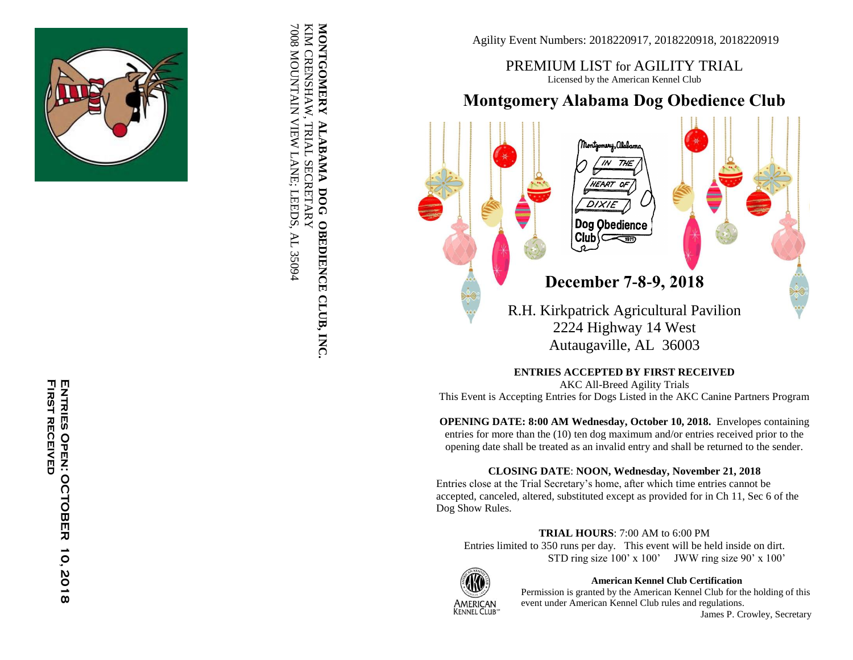

KIM CRENSHAW, TRIAL SECRETARY<br>7008 MOUNTAIN VIEW LANE; LEEDS, AL 35094 MONTGOMERY ALABAMA DOG OBEDIENCE CLUB, INC 7008 MOUNTAIN VIEW LANE; LEEDS, AL 35094 KIM CRENSHAW **MONTGOMERY ALABAMA DOG OBEDIENCE CLUB, INC.** , TRIAL SECRETARY

Agility Event Numbers: 201 82209 1 7, 201 822091 8, 201 8220919

PREMIUM LIST for AGILITY TRIAL Licensed by the American Kennel Club

# **Montgomery Alabama Dog Obedience Club**



**ENTRIES ACCEPTED BY FIRST RECEIVED**

AKC All -Breed Agility Trials This Event is Accepting Entries for Dogs Listed in the AKC Canine Partners Program

**OPENING DATE: 8:00 AM Wednesday, October 10, 2018.** Envelopes containing entries for more than the (10) ten dog maximum and/or entries received prior to the opening date shall be treated as an invalid entry and shall be returned to the sender.

## **CLOSING DATE**: **NOON, Wednesday, November 21, 2018**

Entries close at the Trial Secretary's home, after which time entries cannot be accepted, canceled, altered, substituted except as provided for in Ch 11, Sec 6 of the Dog Show Rules.

#### **TRIAL HOURS**: 7:00 AM to 6:00 PM

Entries limited to 350 runs per day. This event will be held inside on dirt.  $STD$  ring size  $100'$  x  $100'$  JWW ring size  $90'$  x  $100'$ 



**American Kennel Club Certification**

Permission is granted by the American Kennel Club for the holding of this

event under American Kennel Club rules and regulations. James P. Crowley, Secretary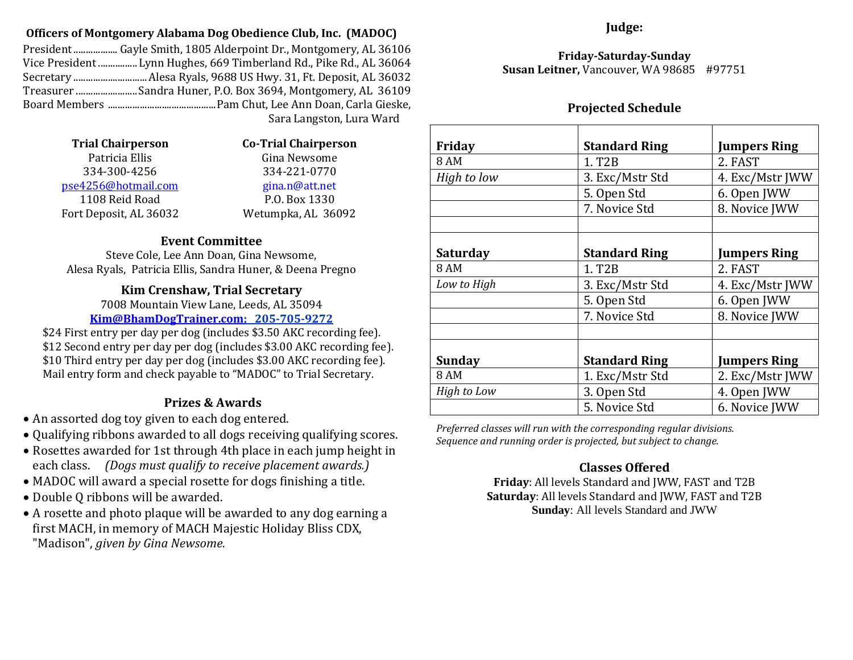### **Officers of Montgomery Alabama Dog Obedience Club, Inc. (MADOC)**

President.................. Gayle Smith, 1805 Alderpoint Dr., Montgomery, AL 36106 Vice President ................Lynn Hughes, 669 Timberland Rd., Pike Rd., AL 36064 Secretary ..............................Alesa Ryals, 9688 US Hwy. 31, Ft. Deposit, AL 36032 Treasurer .........................Sandra Huner, P.O. Box 3694, Montgomery, AL 36109 Board Members ............................................Pam Chut, Lee Ann Doan, Carla Gieske,

Sara Langston, Lura Ward

| 1 rial Unairperson     |  |
|------------------------|--|
| Patricia Ellis         |  |
| 334-300-4256           |  |
| pse4256@hotmail.com    |  |
| 1108 Reid Road         |  |
| Fort Deposit, AL 36032 |  |

**Trial Chairperson Co-Trial Chairperson** Gina Newsome 334-300-4256 334-221-0770 [gina.n@att.net](mailto:Gina.n@att.net) P.O. Box 1330 Wetumpka, AL 36092

## **Event Committee**

Steve Cole, Lee Ann Doan, Gina Newsome, Alesa Ryals, Patricia Ellis, Sandra Huner, & Deena Pregno

## **Kim Crenshaw, Trial Secretary**

7008 Mountain View Lane, Leeds, AL 35094 **[Kim@BhamDogTrainer.com;](mailto:Kim@BhamDogTrainer.com) 205-705-9272**

\$24 First entry per day per dog (includes \$3.50 AKC recording fee). \$12 Second entry per day per dog (includes \$3.00 AKC recording fee). \$10 Third entry per day per dog (includes \$3.00 AKC recording fee). Mail entry form and check payable to "MADOC" to Trial Secretary.

## **Prizes & Awards**

- An assorted dog toy given to each dog entered.
- Qualifying ribbons awarded to all dogs receiving qualifying scores.
- Rosettes awarded for 1st through 4th place in each jump height in each class. *(Dogs must qualify to receive placement awards.)*
- MADOC will award a special rosette for dogs finishing a title.
- Double Q ribbons will be awarded.
- A rosette and photo plaque will be awarded to any dog earning a first MACH, in memory of MACH Majestic Holiday Bliss CDX, "Madison", *given by Gina Newsome.*

## **Judge:**

**Friday-Saturday-Sunday Susan Leitner,** Vancouver, WA 98685 #97751

## **Projected Schedule**

| Friday          | <b>Standard Ring</b> | Jumpers Ring        |
|-----------------|----------------------|---------------------|
| 8 AM            | 1. T <sub>2</sub> B  | 2. FAST             |
| High to low     | 3. Exc/Mstr Std      | 4. Exc/Mstr JWW     |
|                 | 5. Open Std          | 6. Open JWW         |
|                 | 7. Novice Std        | 8. Novice JWW       |
|                 |                      |                     |
| <b>Saturday</b> | <b>Standard Ring</b> | Jumpers Ring        |
| 8 AM            | 1. T <sub>2</sub> B  | 2. FAST             |
| Low to High     | 3. Exc/Mstr Std      | 4. Exc/Mstr JWW     |
|                 | 5. Open Std          | 6. Open JWW         |
|                 | 7. Novice Std        | 8. Novice JWW       |
|                 |                      |                     |
| <b>Sunday</b>   | <b>Standard Ring</b> | <b>Jumpers Ring</b> |
| 8 AM            | 1. Exc/Mstr Std      | 2. Exc/Mstr JWW     |
| High to Low     | 3. Open Std          | 4. Open JWW         |
|                 | 5. Novice Std        | 6. Novice JWW       |

*Preferred classes will run with the corresponding regular divisions. Sequence and running order is projected, but subject to change.* 

## **Classes Offered**

**Friday**: All levels Standard and JWW, FAST and T2B **Saturday**: All levels Standard and JWW, FAST and T2B **Sunday**: All levels Standard and JWW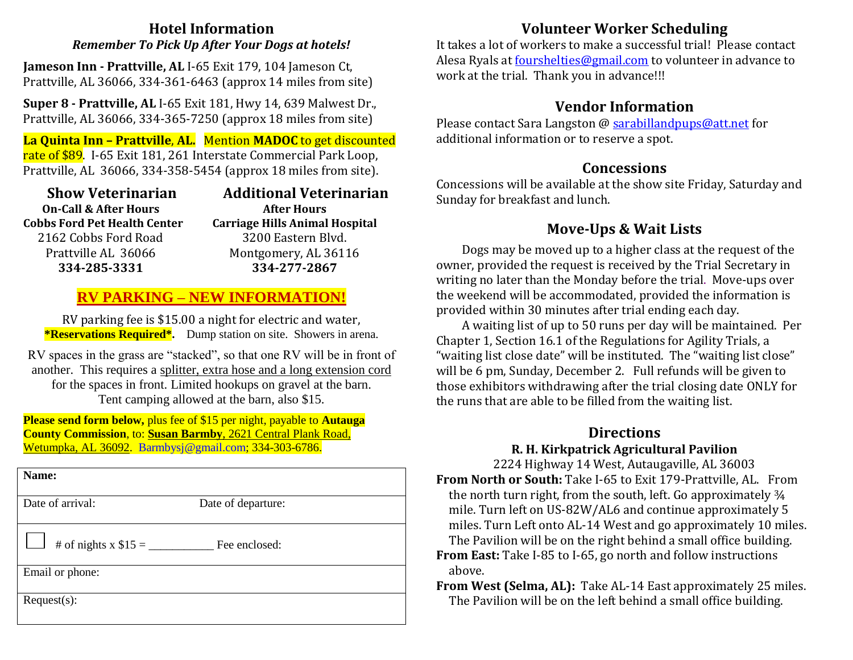## **Hotel Information** *Remember To Pick Up After Your Dogs at hotels!*

**Jameson Inn - Prattville, AL** I-65 Exit 179, 104 Jameson Ct, Prattville, AL 36066, 334-361-6463 (approx 14 miles from site)

**Super 8 - Prattville, AL** I-65 Exit 181, Hwy 14, 639 Malwest Dr., Prattville, AL 36066, 334-365-7250 (approx 18 miles from site)

**La Quinta Inn – Prattville**, **AL.** Mention **MADOC** to get discounted rate of \$89. I-65 Exit 181, 261 Interstate Commercial Park Loop, Prattville, AL 36066, 334-358-5454 (approx 18 miles from site).

| <b>Additional Veterinarian</b>        |
|---------------------------------------|
| <b>After Hours</b>                    |
| <b>Carriage Hills Animal Hospital</b> |
| 3200 Eastern Blvd.                    |
| Montgomery, AL 36116                  |
| 334-277-2867                          |
|                                       |

## **RV PARKING – NEW INFORMATION!**

RV parking fee is \$15.00 a night for electric and water, **\*Reservations Required\*.** Dump station on site. Showers in arena.

RV spaces in the grass are "stacked", so that one RV will be in front of another.This requires a splitter, extra hose and a long extension cord for the spaces in front. Limited hookups on gravel at the barn. Tent camping allowed at the barn, also \$15.

**Please send form below,** plus fee of \$15 per night, payable to **Autauga County Commission**, to: **Susan Barmby**, 2621 Central Plank Road, Wetumpka, AL 36092. [Barmbysj@gmail.com;](mailto:Barmbysj@gmail.com) 334-303-6786.

| Name:                 |                    |
|-----------------------|--------------------|
| Date of arrival:      | Date of departure: |
| # of nights x $$15 =$ | Fee enclosed:      |
| Email or phone:       |                    |
| $Request(s)$ :        |                    |

# **Volunteer Worker Scheduling**

It takes a lot of workers to make a successful trial! Please contact Alesa Ryals at [fourshelties@gmail.com](mailto:fourshelties@gmail.com) to volunteer in advance to work at the trial. Thank you in advance!!!

## **Vendor Information**

Please contact Sara Langston @ sarabillandpups@att.net for additional information or to reserve a spot.

## **Concessions**

Concessions will be available at the show site Friday, Saturday and Sunday for breakfast and lunch.

# **Move-Ups & Wait Lists**

Dogs may be moved up to a higher class at the request of the owner, provided the request is received by the Trial Secretary in writing no later than the Monday before the trial. Move-ups over the weekend will be accommodated, provided the information is provided within 30 minutes after trial ending each day.

A waiting list of up to 50 runs per day will be maintained. Per Chapter 1, Section 16.1 of the Regulations for Agility Trials, a "waiting list close date" will be instituted. The "waiting list close" will be 6 pm, Sunday, December 2. Full refunds will be given to those exhibitors withdrawing after the trial closing date ONLY for the runs that are able to be filled from the waiting list.

## **Directions R. H. Kirkpatrick Agricultural Pavilion**

2224 Highway 14 West, Autaugaville, AL 36003 **From North or South:** Take I-65 to Exit 179-Prattville, AL. From the north turn right, from the south, left. Go approximately ¾ mile. Turn left on US-82W/AL6 and continue approximately 5 miles. Turn Left onto AL-14 West and go approximately 10 miles. The Pavilion will be on the right behind a small office building.

- **From East:** Take I-85 to I-65, go north and follow instructions above.
- **From West (Selma, AL):** Take AL-14 East approximately 25 miles. The Pavilion will be on the left behind a small office building.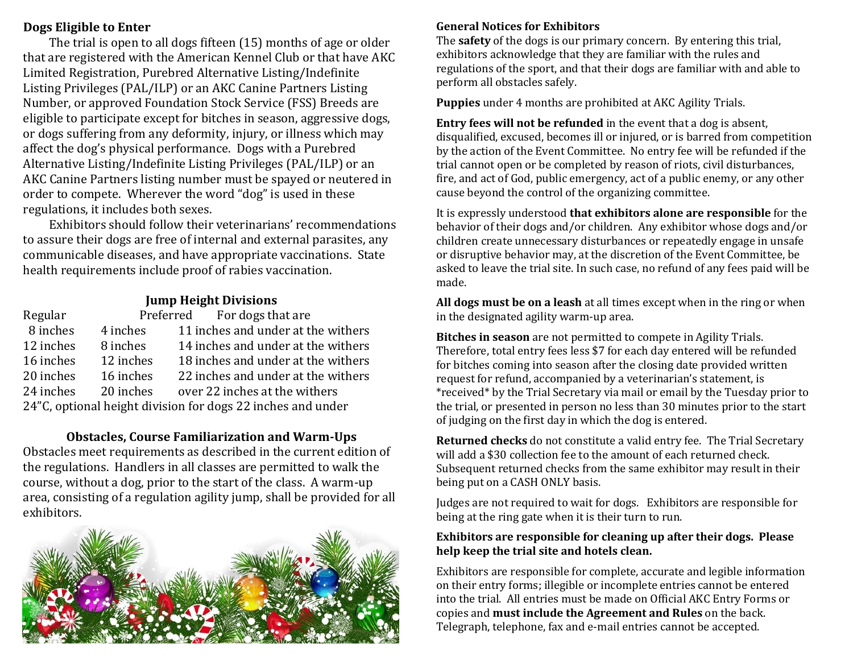## **Dogs Eligible to Enter**

The trial is open to all dogs fifteen (15) months of age or older that are registered with the American Kennel Club or that have AKC Limited Registration, Purebred Alternative Listing/Indefinite Listing Privileges (PAL/ILP) or an AKC Canine Partners Listing Number, or approved Foundation Stock Service (FSS) Breeds are eligible to participate except for bitches in season, aggressive dogs, or dogs suffering from any deformity, injury, or illness which may affect the dog's physical performance. Dogs with a Purebred Alternative Listing/Indefinite Listing Privileges (PAL/ILP) or an AKC Canine Partners listing number must be spayed or neutered in order to compete. Wherever the word "dog" is used in these regulations, it includes both sexes.

Exhibitors should follow their veterinarians' recommendations to assure their dogs are free of internal and external parasites, any communicable diseases, and have appropriate vaccinations. State health requirements include proof of rabies vaccination.

## **Jump Height Divisions**

| Regular   |           | Preferred For dogs that are                                 |
|-----------|-----------|-------------------------------------------------------------|
| 8 inches  | 4 inches  | 11 inches and under at the withers                          |
| 12 inches | 8 inches  | 14 inches and under at the withers                          |
| 16 inches | 12 inches | 18 inches and under at the withers                          |
| 20 inches | 16 inches | 22 inches and under at the withers                          |
| 24 inches | 20 inches | over 22 inches at the withers                               |
|           |           | 24"C, optional height division for dogs 22 inches and under |

### **Obstacles, Course Familiarization and Warm-Ups**

Obstacles meet requirements as described in the current edition of the regulations. Handlers in all classes are permitted to walk the course, without a dog, prior to the start of the class. A warm-up area, consisting of a regulation agility jump, shall be provided for all exhibitors.



## **General Notices for Exhibitors**

The **safety** of the dogs is our primary concern. By entering this trial, exhibitors acknowledge that they are familiar with the rules and regulations of the sport, and that their dogs are familiar with and able to perform all obstacles safely.

**Puppies** under 4 months are prohibited at AKC Agility Trials.

**Entry fees will not be refunded** in the event that a dog is absent, disqualified, excused, becomes ill or injured, or is barred from competition by the action of the Event Committee. No entry fee will be refunded if the trial cannot open or be completed by reason of riots, civil disturbances, fire, and act of God, public emergency, act of a public enemy, or any other cause beyond the control of the organizing committee.

It is expressly understood **that exhibitors alone are responsible** for the behavior of their dogs and/or children. Any exhibitor whose dogs and/or children create unnecessary disturbances or repeatedly engage in unsafe or disruptive behavior may, at the discretion of the Event Committee, be asked to leave the trial site. In such case, no refund of any fees paid will be made.

**All dogs must be on a leash** at all times except when in the ring or when in the designated agility warm-up area.

**Bitches in season** are not permitted to compete in Agility Trials. Therefore, total entry fees less \$7 for each day entered will be refunded for bitches coming into season after the closing date provided written request for refund, accompanied by a veterinarian's statement, is \*received\* by the Trial Secretary via mail or email by the Tuesday prior to the trial, or presented in person no less than 30 minutes prior to the start of judging on the first day in which the dog is entered.

**Returned checks** do not constitute a valid entry fee. The Trial Secretary will add a \$30 collection fee to the amount of each returned check. Subsequent returned checks from the same exhibitor may result in their being put on a CASH ONLY basis.

Judges are not required to wait for dogs. Exhibitors are responsible for being at the ring gate when it is their turn to run.

## **Exhibitors are responsible for cleaning up after their dogs. Please help keep the trial site and hotels clean.**

Exhibitors are responsible for complete, accurate and legible information on their entry forms; illegible or incomplete entries cannot be entered into the trial. All entries must be made on Official AKC Entry Forms or copies and **must include the Agreement and Rules** on the back. Telegraph, telephone, fax and e-mail entries cannot be accepted.